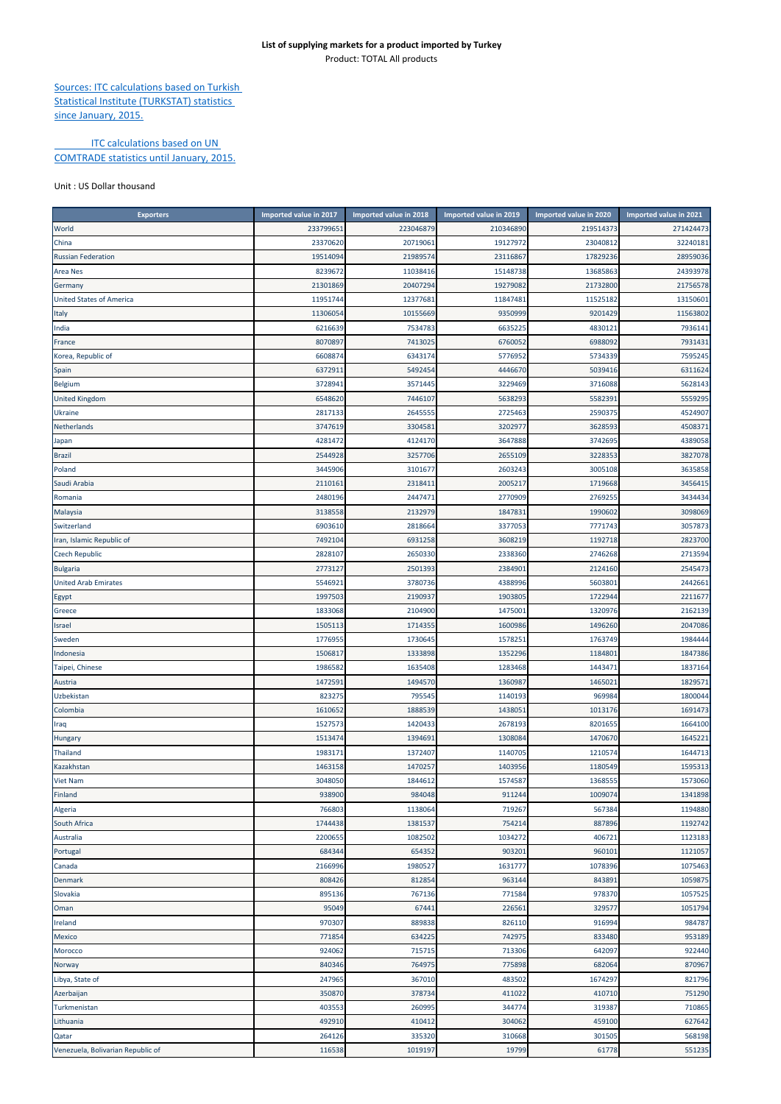## **List of supplying markets for a product imported by Turkey** Product: TOTAL All products

Sources: ITC calculations based on Turkish Statistical Institute (TURKSTAT) statistics since January, 2015.

## **ITC calculations based on UN** COMTRADE statistics until January, 2015.

## Unit : US Dollar thousand

| <b>Exporters</b>                  | Imported value in 2017 | Imported value in 2018 | Imported value in 2019 | Imported value in 2020 | Imported value in 2021 |
|-----------------------------------|------------------------|------------------------|------------------------|------------------------|------------------------|
| World                             | 233799651              | 223046879              | 210346890              | 219514373              | 271424473              |
| China                             | 23370620               | 20719061               | 19127972               | 23040812               | 32240181               |
| <b>Russian Federation</b>         | 19514094               | 21989574               | 23116867               | 17829236               | 28959036               |
| <b>Area Nes</b>                   | 8239672                | 11038416               | 15148738               | 13685863               | 24393978               |
| Germany                           | 21301869               | 20407294               | 19279082               | 21732800               | 21756578               |
| <b>United States of America</b>   | 11951744               | 12377681               | 11847481               | 11525182               | 13150601               |
| Italy                             | 11306054               | 10155669               | 9350999                | 9201429                | 11563802               |
| India                             | 6216639                | 7534783                | 6635225                | 4830121                | 7936141                |
| France                            | 8070897                | 7413025                | 6760052                | 6988092                | 7931431                |
| Korea, Republic of                | 6608874                | 6343174                | 5776952                | 5734339                | 7595245                |
|                                   |                        |                        |                        |                        |                        |
| Spain                             | 6372911                | 5492454                | 4446670                | 5039416                | 6311624                |
| Belgium                           | 3728941                | 3571445                | 3229469                | 3716088                | 5628143                |
| <b>United Kingdom</b>             | 6548620                | 7446107                | 5638293                | 5582391                | 5559295                |
| <b>Ukraine</b>                    | 2817133                | 2645555                | 2725463                | 2590375                | 4524907                |
| Netherlands                       | 3747619                | 330458                 | 3202977                | 3628593                | 4508371                |
| Japan                             | 4281472                | 4124170                | 3647888                | 3742695                | 4389058                |
| <b>Brazil</b>                     | 2544928                | 3257706                | 2655109                | 3228353                | 3827078                |
| Poland                            | 3445906                | 3101677                | 2603243                | 3005108                | 3635858                |
| Saudi Arabia                      | 2110161                | 2318411                | 2005217                | 1719668                | 3456415                |
| Romania                           | 2480196                | 244747                 | 2770909                | 2769255                | 3434434                |
| Malaysia                          | 3138558                | 2132979                | 1847831                | 1990602                | 3098069                |
| Switzerland                       | 6903610                | 2818664                | 3377053                | 7771743                | 3057873                |
| Iran, Islamic Republic of         | 7492104                | 6931258                | 3608219                | 1192718                | 2823700                |
| <b>Czech Republic</b>             | 2828107                | 2650330                | 2338360                | 2746268                | 2713594                |
| <b>Bulgaria</b>                   | 2773127                | 2501393                | 2384901                | 2124160                | 2545473                |
| <b>United Arab Emirates</b>       | 5546921                | 3780736                | 4388996                | 5603801                | 2442661                |
| Egypt                             | 1997503                | 2190937                | 1903805                | 1722944                | 2211677                |
| Greece                            | 1833068                | 2104900                | 1475001                | 1320976                | 2162139                |
| <b>Israel</b>                     | 1505113                | 1714355                | 1600986                | 1496260                | 2047086                |
| Sweden                            | 1776955                | 1730645                | 1578251                | 1763749                | 1984444                |
| Indonesia                         | 1506817                | 1333898                | 1352296                | 1184801                | 1847386                |
|                                   | 1986582                | 1635408                | 1283468                | 1443471                | 1837164                |
| Taipei, Chinese                   |                        |                        |                        |                        |                        |
| Austria                           | 1472591                | 1494570                | 1360987                | 1465021                | 1829571                |
| Uzbekistan                        | 823275                 | 795545                 | 1140193                | 969984                 | 1800044                |
| Colombia                          | 1610652                | 1888539                | 1438051                | 1013176                | 1691473                |
| Iraq                              | 1527573                | 1420433                | 2678193                | 8201655                | 1664100                |
| Hungary                           | 1513474                | 1394691                | 1308084                | 1470670                | 1645221                |
| Thailand                          | 1983171                | 1372407                | 1140705                | 1210574                | 1644713                |
| Kazakhstan                        | 1463158                | 1470257                | 1403956                | 1180549                | 1595313                |
| <b>Viet Nam</b>                   | 3048050                | 1844612                | 1574587                | 1368555                | 1573060                |
| Finland                           | 938900                 | 984048                 | 911244                 | 1009074                | 1341898                |
| Algeria                           | 766803                 | 1138064                | 719267                 | 567384                 | 1194880                |
| South Africa                      | 1744438                | 1381537                | 754214                 | 887896                 | 1192742                |
| Australia                         | 2200655                | 1082502                | 1034272                | 406721                 | 1123183                |
| Portugal                          | 684344                 | 654352                 | 903201                 | 960101                 | 1121057                |
| Canada                            | 2166996                | 1980527                | 1631777                | 1078396                | 1075463                |
| Denmark                           | 808426                 | 812854                 | 963144                 | 843891                 | 1059875                |
| Slovakia                          | 895136                 | 767136                 | 771584                 | 978370                 | 1057525                |
| Oman                              | 95049                  | 67441                  | 226561                 | 329577                 | 1051794                |
| Ireland                           | 970307                 | 889838                 | 826110                 | 916994                 | 984787                 |
| Mexico                            | 771854                 | 634225                 | 742975                 | 833480                 | 953189                 |
| Morocco                           | 924062                 | 715715                 | 713306                 | 642097                 | 922440                 |
| Norway                            | 840346                 | 764975                 | 775898                 | 682064                 | 870967                 |
| Libya, State of                   | 247965                 | 367010                 | 483502                 | 1674297                | 821796                 |
| Azerbaijan                        | 350870                 | 378734                 | 411022                 | 410710                 | 751290                 |
|                                   |                        |                        |                        |                        |                        |
| Turkmenistan                      | 403553                 | 260995                 | 344774                 | 319387                 | 710865                 |
| Lithuania                         | 492910                 | 410412                 | 304062                 | 459100                 | 627642                 |
| Qatar                             | 264126                 | 335320                 | 310668                 | 301505                 | 568198                 |
| Venezuela, Bolivarian Republic of | 116538                 | 1019197                | 19799                  | 61778                  | 551235                 |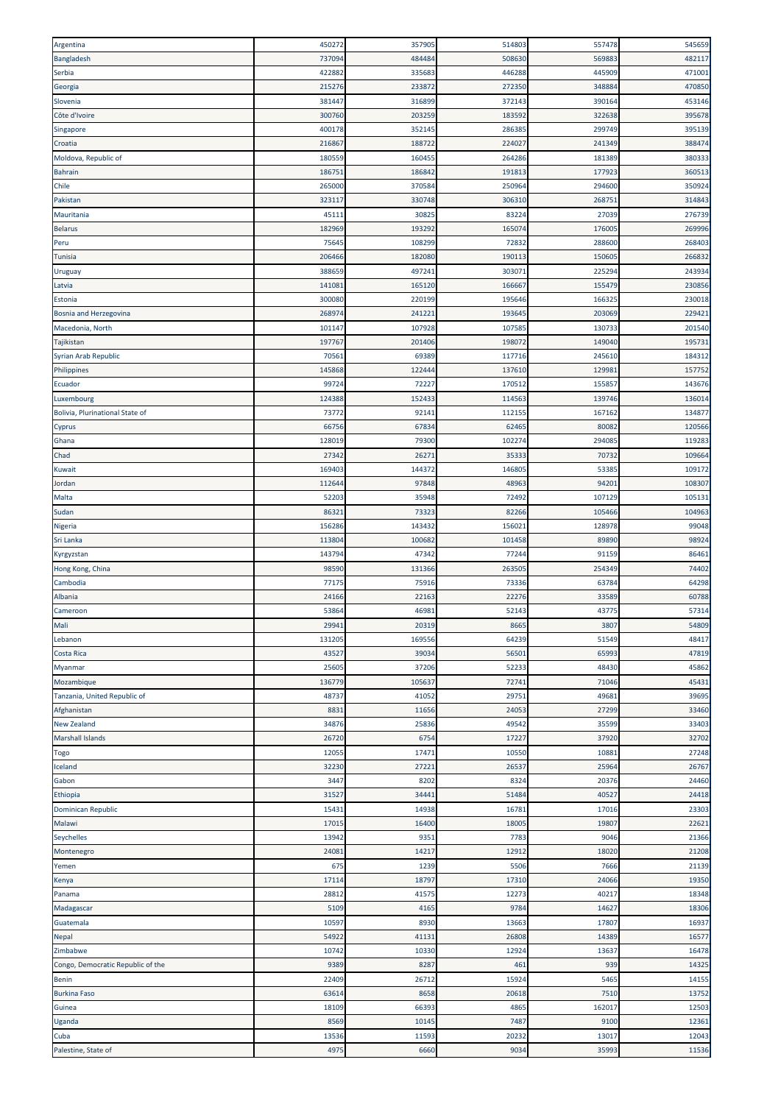| Argentina                         | 450272 | 357905 | 514803 | 557478 | 545659 |
|-----------------------------------|--------|--------|--------|--------|--------|
| Bangladesh                        | 737094 | 484484 | 508630 | 569883 | 482117 |
| Serbia                            | 422882 | 335683 | 446288 | 445909 | 471001 |
| Georgia                           | 215276 | 233872 | 272350 | 348884 | 470850 |
| Slovenia                          | 381447 | 316899 | 372143 | 390164 | 453146 |
| Côte d'Ivoire                     | 300760 | 203259 | 183592 | 322638 | 395678 |
|                                   |        |        |        |        |        |
| Singapore                         | 400178 | 352145 | 286385 | 299749 | 395139 |
| Croatia                           | 216867 | 188722 | 224027 | 241349 | 388474 |
| Moldova, Republic of              | 180559 | 160455 | 264286 | 181389 | 380333 |
| <b>Bahrain</b>                    | 186751 | 186842 | 191813 | 177923 | 360513 |
| Chile                             | 265000 | 370584 | 250964 | 294600 | 350924 |
| Pakistan                          | 323117 | 330748 | 306310 | 268751 | 314843 |
| Mauritania                        | 45111  | 30825  | 83224  | 27039  | 276739 |
| <b>Belarus</b>                    | 182969 | 193292 | 165074 | 176005 | 269996 |
| Peru                              | 75645  | 108299 | 72832  | 288600 | 268403 |
| <b>Tunisia</b>                    | 206466 | 182080 | 190113 | 150605 | 266832 |
|                                   | 388659 | 497241 | 303071 | 225294 | 243934 |
| Uruguay                           |        |        |        |        |        |
| Latvia                            | 141081 | 165120 | 166667 | 155479 | 230856 |
| Estonia                           | 300080 | 220199 | 195646 | 166325 | 230018 |
| Bosnia and Herzegovina            | 268974 | 241221 | 193645 | 203069 | 229421 |
| Macedonia, North                  | 101147 | 107928 | 107585 | 130733 | 201540 |
| Tajikistan                        | 197767 | 201406 | 198072 | 149040 | 195731 |
| Syrian Arab Republic              | 70561  | 69389  | 117716 | 245610 | 184312 |
| Philippines                       | 145868 | 122444 | 137610 | 129981 | 157752 |
| Ecuador                           | 99724  | 72227  | 170512 | 155857 | 143676 |
| Luxembourg                        | 124388 | 152433 | 114563 | 139746 | 136014 |
| Bolivia, Plurinational State of   | 73772  | 92141  | 112155 | 167162 | 134877 |
|                                   |        |        |        |        |        |
| Cyprus                            | 66756  | 67834  | 62465  | 80082  | 120566 |
| Ghana                             | 128019 | 79300  | 102274 | 294085 | 119283 |
| Chad                              | 27342  | 26271  | 35333  | 70732  | 109664 |
| Kuwait                            | 169403 | 144372 | 146805 | 53385  | 109172 |
| Jordan                            | 112644 | 97848  | 48963  | 94201  | 108307 |
| Malta                             | 52203  | 35948  | 72492  | 107129 | 105131 |
| Sudan                             | 86321  | 73323  | 82266  | 105466 | 104963 |
| Nigeria                           | 156286 | 143432 | 156021 | 128978 | 99048  |
| Sri Lanka                         | 113804 | 100682 | 101458 | 89890  | 98924  |
| Kyrgyzstan                        | 143794 | 47342  | 77244  | 91159  | 86461  |
| Hong Kong, China                  | 98590  | 131366 | 263505 | 254349 | 74402  |
| Cambodia                          | 77175  | 75916  | 73336  | 63784  | 64298  |
|                                   |        |        |        |        |        |
| Albania                           | 24166  | 22163  | 22276  | 33589  | 60788  |
| Cameroon                          | 53864  | 46981  | 52143  | 43775  | 57314  |
| Mali                              | 29941  | 20319  | 8665   | 3807   | 54809  |
| Lebanon                           | 131205 | 169556 | 64239  | 51549  | 48417  |
| Costa Rica                        | 43527  | 39034  | 56501  | 65993  | 47819  |
| Myanmar                           | 25605  | 37206  | 52233  | 48430  | 45862  |
| Mozambique                        | 136779 | 105637 | 72741  | 71046  | 45431  |
| Tanzania, United Republic of      | 48737  | 41052  | 29751  | 49681  | 39695  |
| Afghanistan                       | 8831   | 11656  | 24053  | 27299  | 33460  |
| <b>New Zealand</b>                | 34876  | 25836  | 49542  | 35599  | 33403  |
|                                   |        |        |        |        |        |
| <b>Marshall Islands</b>           | 26720  | 6754   | 17227  | 37920  | 32702  |
| <b>Togo</b>                       | 12055  | 17471  | 10550  | 10881  | 27248  |
| Iceland                           | 32230  | 27221  | 26537  | 25964  | 26767  |
| Gabon                             | 3447   | 8202   | 8324   | 20376  | 24460  |
| Ethiopia                          | 31527  | 34441  | 51484  | 40527  | 24418  |
| Dominican Republic                | 15431  | 14938  | 16781  | 17016  | 23303  |
| Malawi                            | 17015  | 16400  | 18005  | 19807  | 22621  |
| Seychelles                        | 13942  | 9351   | 7783   | 9046   | 21366  |
| Montenegro                        | 24081  | 14217  | 12912  | 18020  | 21208  |
| Yemen                             | 675    | 1239   | 5506   | 7666   | 21139  |
| Kenya                             | 17114  | 18797  | 17310  | 24066  | 19350  |
|                                   | 28812  | 41575  | 12273  | 40217  | 18348  |
| Panama                            |        |        |        |        |        |
| Madagascar                        | 5109   | 4165   | 9784   | 14627  | 18306  |
| Guatemala                         | 10597  | 8930   | 13663  | 17807  | 16937  |
| Nepal                             | 54922  | 41131  | 26808  | 14389  | 16577  |
| Zimbabwe                          | 10742  | 10330  | 12924  | 13637  | 16478  |
| Congo, Democratic Republic of the | 9389   | 8287   | 461    | 939    | 14325  |
| <b>Benin</b>                      | 22409  | 26712  | 15924  | 5465   | 14155  |
| <b>Burkina Faso</b>               | 63614  | 8658   | 20618  | 7510   | 13752  |
| Guinea                            | 18109  | 66393  | 4865   | 162017 | 12503  |
| Uganda                            | 8569   | 10145  | 7487   | 9100   | 12361  |
| Cuba                              | 13536  | 11593  | 20232  | 13017  | 12043  |
|                                   |        |        |        |        |        |
| Palestine, State of               | 4975   | 6660   | 9034   | 35993  | 11536  |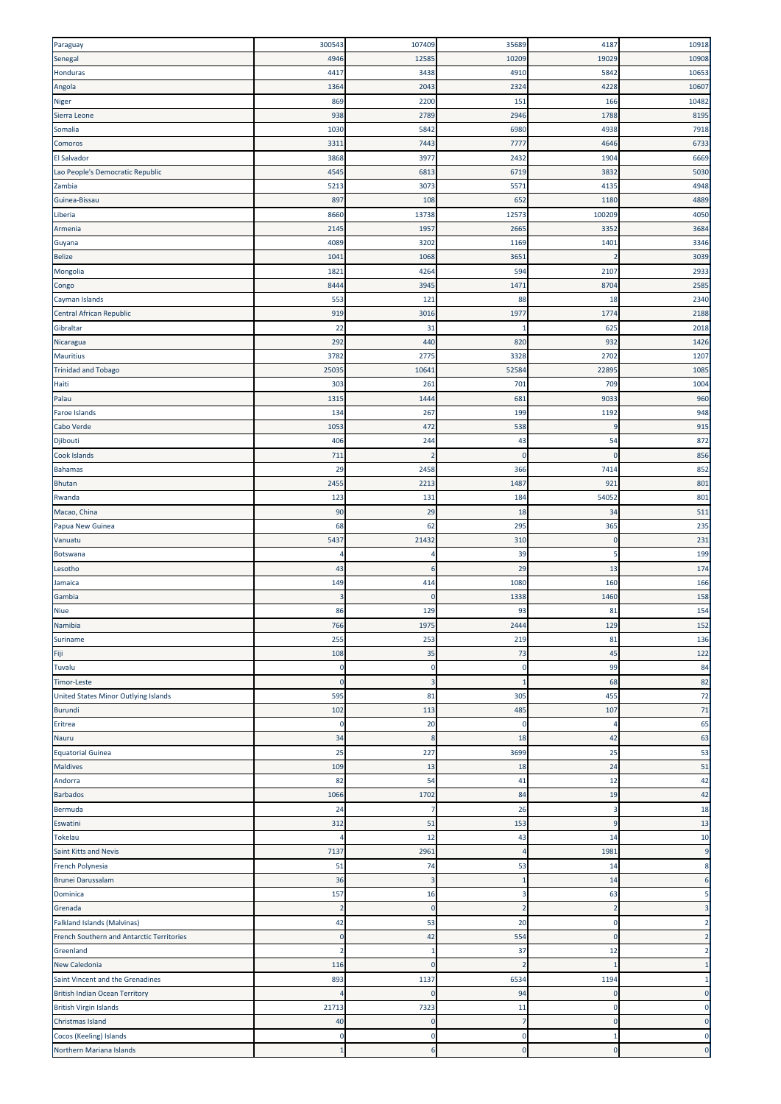| Paraguay                                  | 300543                  | 107409         | 35689                   | 4187         | 10918          |
|-------------------------------------------|-------------------------|----------------|-------------------------|--------------|----------------|
| Senegal                                   | 4946                    | 12585          | 10209                   | 19029        | 10908          |
|                                           |                         |                |                         |              |                |
| Honduras                                  | 4417                    | 3438           | 4910                    | 5842         | 10653          |
| Angola                                    | 1364                    | 2043           | 2324                    | 4228         | 10607          |
| Niger                                     | 869                     | 2200           | 151                     | 166          | 10482          |
| Sierra Leone                              | 938                     | 2789           | 2946                    | 1788         | 8195           |
| Somalia                                   | 1030                    | 5842           | 6980                    | 4938         | 7918           |
| Comoros                                   | 3311                    | 7443           | 7777                    | 4646         | 6733           |
|                                           |                         |                |                         |              |                |
| El Salvador                               | 3868                    | 3977           | 2432                    | 1904         | 6669           |
| Lao People's Democratic Republic          | 4545                    | 6813           | 6719                    | 3832         | 5030           |
| Zambia                                    | 5213                    | 3073           | 5571                    | 4135         | 4948           |
| Guinea-Bissau                             | 897                     | 108            | 652                     | 1180         | 4889           |
| Liberia                                   | 8660                    | 13738          | 12573                   | 100209       | 4050           |
|                                           |                         |                |                         |              |                |
| Armenia                                   | 2145                    | 1957           | 2665                    | 3352         | 3684           |
| Guyana                                    | 4089                    | 3202           | 1169                    | 1401         | 3346           |
| <b>Belize</b>                             | 1041                    | 1068           | 3651                    | 2            | 3039           |
| Mongolia                                  | 1821                    | 4264           | 594                     | 2107         | 2933           |
| Congo                                     | 8444                    | 3945           | 1471                    | 8704         | 2585           |
| Cayman Islands                            | 553                     | 121            | 88                      | 18           | 2340           |
|                                           |                         |                |                         |              |                |
| <b>Central African Republic</b>           | 919                     | 3016           | 1977                    | 1774         | 2188           |
| Gibraltar                                 | 22                      | 31             | $\mathbf{1}$            | 625          | 2018           |
| Nicaragua                                 | 292                     | 440            | 820                     | 932          | 1426           |
| <b>Mauritius</b>                          | 3782                    | 2775           | 3328                    | 2702         | 1207           |
| <b>Trinidad and Tobago</b>                | 25035                   | 10641          | 52584                   | 22895        | 1085           |
|                                           |                         |                |                         |              |                |
| Haiti                                     | 303                     | 261            | 701                     | 709          | 1004           |
| Palau                                     | 1315                    | 1444           | 681                     | 9033         | 960            |
| <b>Faroe Islands</b>                      | 134                     | 267            | 199                     | 1192         | 948            |
| Cabo Verde                                | 1053                    | 472            | 538                     | q            | 915            |
| Djibouti                                  | 406                     | 244            | 43                      | 54           | 872            |
|                                           |                         | $\overline{2}$ | $\mathbf 0$             | $\Omega$     | 856            |
| Cook Islands                              | 711                     |                |                         |              |                |
| <b>Bahamas</b>                            | 29                      | 2458           | 366                     | 7414         | 852            |
| Bhutan                                    | 2455                    | 2213           | 1487                    | 921          | 801            |
| Rwanda                                    | 123                     | 131            | 184                     | 54052        | 801            |
| Macao, China                              | 90                      | 29             | 18                      | 34           | 511            |
| Papua New Guinea                          | 68                      | 62             | 295                     | 365          | 235            |
|                                           |                         |                |                         |              |                |
| Vanuatu                                   | 5437                    | 21432          | 310                     | $\mathbf 0$  | 231            |
| Botswana                                  | $\overline{\mathbf{r}}$ | 4              | 39                      | 5            | 199            |
| Lesotho                                   | 43                      | 6              | 29                      | 13           | 174            |
| Jamaica                                   | 149                     | 414            | 1080                    | 160          | 166            |
| Gambia                                    | F                       | $\mathbf{0}$   | 1338                    | 1460         | 158            |
|                                           |                         |                |                         |              |                |
| <b>Niue</b>                               | 86                      | 129            | 93                      | 81           | 154            |
| Namibia                                   | 766                     | 1975           | 2444                    | 129          | 152            |
| Suriname                                  | 255                     | 253            | 219                     | 81           | 136            |
| Fiji                                      | 108                     | 35             | 73                      | 45           | 122            |
| Tuvalu                                    | 0                       | $\mathbf 0$    | $\mathbf 0$             | 99           | 84             |
| <b>Timor-Leste</b>                        | $\mathbf{0}$            | 3              | 1                       | 68           | 82             |
|                                           |                         |                |                         |              |                |
| United States Minor Outlying Islands      | 595                     | 81             | 305                     | 455          | 72             |
| Burundi                                   | 102                     | 113            | 485                     | 107          | 71             |
| Eritrea                                   | 0                       | 20             | $\mathbf 0$             | 4            | 65             |
| Nauru                                     | 34                      | 8              | 18                      | 42           | 63             |
| <b>Equatorial Guinea</b>                  | 25                      | 227            | 3699                    | 25           | 53             |
| <b>Maldives</b>                           | 109                     | 13             | 18                      | 24           | 51             |
|                                           |                         |                |                         |              |                |
| Andorra                                   | 82                      | 54             | 41                      | 12           | 42             |
| <b>Barbados</b>                           | 1066                    | 1702           | 84                      | 19           | 42             |
| Bermuda                                   | 24                      | 7              | 26                      | 3            | 18             |
| Eswatini                                  | 312                     | 51             | 153                     | 9            | 13             |
| Tokelau                                   | Z                       | 12             | 43                      | 14           | 10             |
| Saint Kitts and Nevis                     | 7137                    |                | 4                       | 1981         | 9              |
|                                           |                         | 2961           |                         |              |                |
| French Polynesia                          | 51                      | 74             | 53                      | 14           | 8              |
| <b>Brunei Darussalam</b>                  | 36                      | 3              | $\mathbf{1}$            | 14           | 6              |
| Dominica                                  | 157                     | 16             | $\overline{\mathbf{3}}$ | 63           | 5              |
| Grenada                                   | 2                       | $\mathbf 0$    | $\overline{2}$          | 2            |                |
| <b>Falkland Islands (Malvinas)</b>        | 42                      | 53             | 20                      | $\mathbf 0$  | $\overline{2}$ |
|                                           |                         |                |                         |              |                |
| French Southern and Antarctic Territories | $\overline{0}$          | 42             | 554                     | $\mathbf{0}$ | 2              |
| Greenland                                 | 2                       | -1             | 37                      | 12           | 2              |
| <b>New Caledonia</b>                      | 116                     | $\mathbf 0$    | $\overline{2}$          | -1           |                |
| Saint Vincent and the Grenadines          | 893                     | 1137           | 6534                    | 1194         |                |
| <b>British Indian Ocean Territory</b>     |                         | $\Omega$       | 94                      | $\mathbf 0$  | $\Omega$       |
|                                           |                         |                |                         | $\Omega$     | 0              |
| <b>British Virgin Islands</b>             | 21713                   | 7323           | 11                      |              |                |
| Christmas Island                          | 40                      | $\Omega$       | $\overline{7}$          | $\mathbf{0}$ | $\mathbf{0}$   |
| Cocos (Keeling) Islands                   | ſ                       | $\Omega$       | $\mathbf 0$             | -1           | $\mathbf 0$    |
| Northern Mariana Islands                  |                         | 6              | $\mathbf 0$             | $\mathbf 0$  | $\bf 0$        |